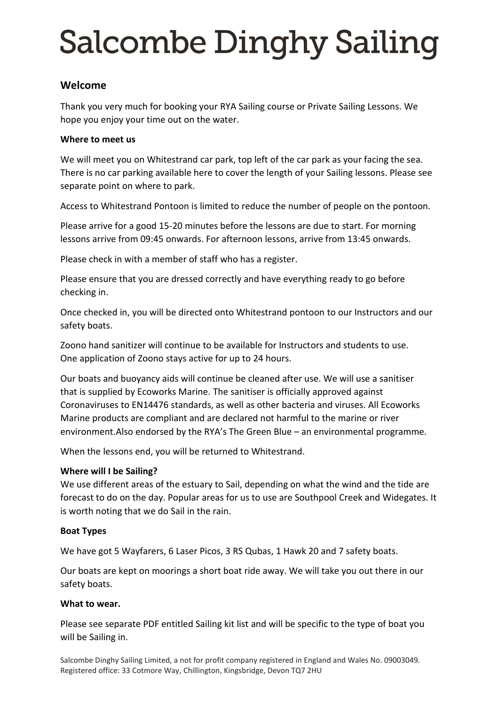# **Salcombe Dinghy Sailing**

# **Welcome**

Thank you very much for booking your RYA Sailing course or Private Sailing Lessons. We hope you enjoy your time out on the water.

### **Where to meet us**

We will meet you on Whitestrand car park, top left of the car park as your facing the sea. There is no car parking available here to cover the length of your Sailing lessons. Please see separate point on where to park.

Access to Whitestrand Pontoon is limited to reduce the number of people on the pontoon.

Please arrive for a good 15-20 minutes before the lessons are due to start. For morning lessons arrive from 09:45 onwards. For afternoon lessons, arrive from 13:45 onwards.

Please check in with a member of staff who has a register.

Please ensure that you are dressed correctly and have everything ready to go before checking in.

Once checked in, you will be directed onto Whitestrand pontoon to our Instructors and our safety boats.

Zoono hand sanitizer will continue to be available for Instructors and students to use. One application of Zoono stays active for up to 24 hours.

Our boats and buoyancy aids will continue be cleaned after use. We will use a sanitiser that is supplied by Ecoworks Marine. The sanitiser is officially approved against Coronaviruses to EN14476 standards, as well as other bacteria and viruses. All Ecoworks Marine products are compliant and are declared not harmful to the marine or river environment.Also endorsed by the RYA's The Green Blue – an environmental programme.

When the lessons end, you will be returned to Whitestrand.

#### **Where will I be Sailing?**

We use different areas of the estuary to Sail, depending on what the wind and the tide are forecast to do on the day. Popular areas for us to use are Southpool Creek and Widegates. It is worth noting that we do Sail in the rain.

#### **Boat Types**

We have got 5 Wayfarers, 6 Laser Picos, 3 RS Qubas, 1 Hawk 20 and 7 safety boats.

Our boats are kept on moorings a short boat ride away. We will take you out there in our safety boats.

#### **What to wear.**

Please see separate PDF entitled Sailing kit list and will be specific to the type of boat you will be Sailing in.

Salcombe Dinghy Sailing Limited, a not for profit company registered in England and Wales No. 09003049. Registered office: 33 Cotmore Way, Chillington, Kingsbridge, Devon TQ7 2HU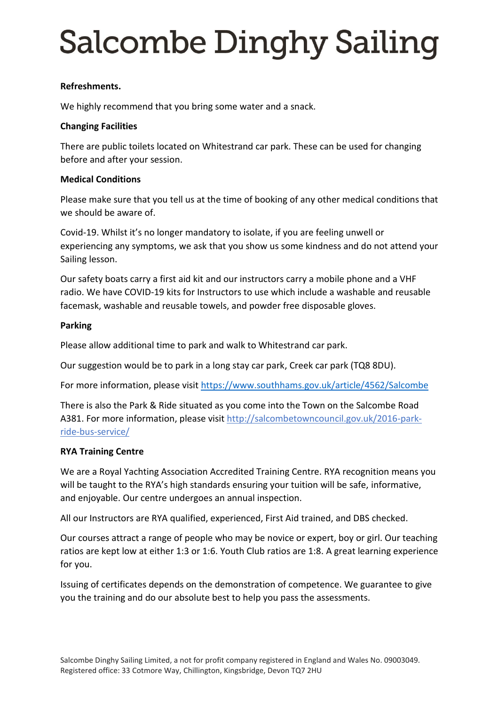# **Salcombe Dinghy Sailing**

# **Refreshments.**

We highly recommend that you bring some water and a snack.

### **Changing Facilities**

There are public toilets located on Whitestrand car park. These can be used for changing before and after your session.

# **Medical Conditions**

Please make sure that you tell us at the time of booking of any other medical conditions that we should be aware of.

Covid-19. Whilst it's no longer mandatory to isolate, if you are feeling unwell or experiencing any symptoms, we ask that you show us some kindness and do not attend your Sailing lesson.

Our safety boats carry a first aid kit and our instructors carry a mobile phone and a VHF radio. We have COVID-19 kits for Instructors to use which include a washable and reusable facemask, washable and reusable towels, and powder free disposable gloves.

#### **Parking**

Please allow additional time to park and walk to Whitestrand car park.

Our suggestion would be to park in a long stay car park, Creek car park (TQ8 8DU).

For more information, please visit <https://www.southhams.gov.uk/article/4562/Salcombe>

There is also the Park & Ride situated as you come into the Town on the Salcombe Road A381. For more information, please visi[t http://salcombetowncouncil.gov.uk/2016-park](http://salcombetowncouncil.gov.uk/2016-park-ride-bus-service/)[ride-bus-service/](http://salcombetowncouncil.gov.uk/2016-park-ride-bus-service/)

#### **RYA Training Centre**

We are a Royal Yachting Association Accredited Training Centre. RYA recognition means you will be taught to the RYA's high standards ensuring your tuition will be safe, informative, and enjoyable. Our centre undergoes an annual inspection.

All our Instructors are RYA qualified, experienced, First Aid trained, and DBS checked.

Our courses attract a range of people who may be novice or expert, boy or girl. Our teaching ratios are kept low at either 1:3 or 1:6. Youth Club ratios are 1:8. A great learning experience for you.

Issuing of certificates depends on the demonstration of competence. We guarantee to give you the training and do our absolute best to help you pass the assessments.